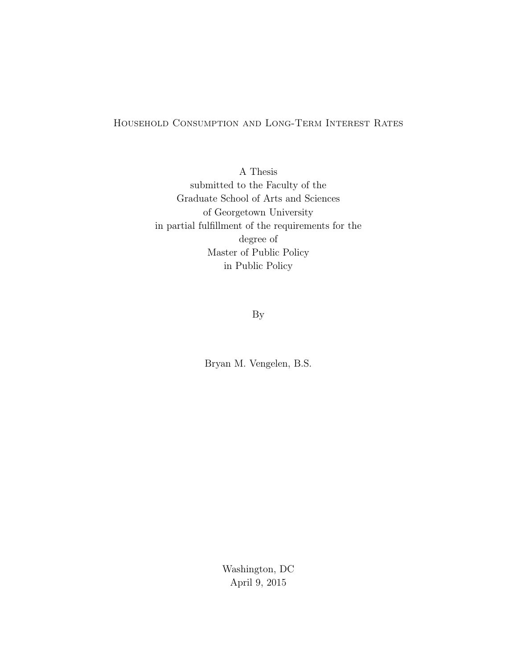# Household Consumption and Long-Term Interest Rates

A Thesis submitted to the Faculty of the Graduate School of Arts and Sciences of Georgetown University in partial fulfillment of the requirements for the degree of Master of Public Policy in Public Policy

By

Bryan M. Vengelen, B.S.

Washington, DC April 9, 2015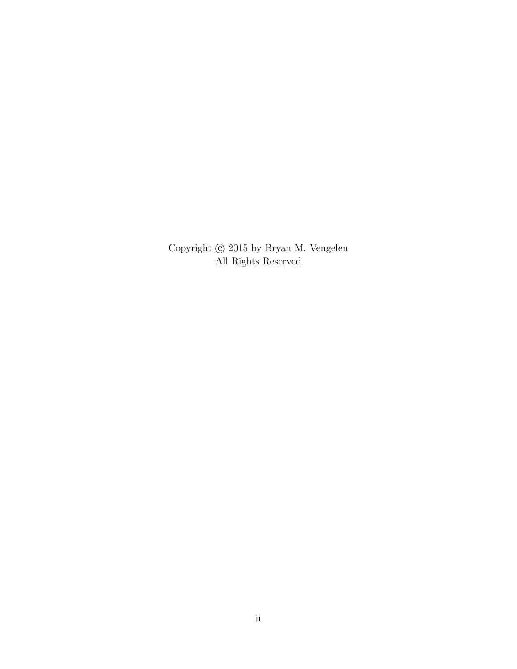Copyright  $\odot$  2015 by Bryan M. Vengelen All Rights Reserved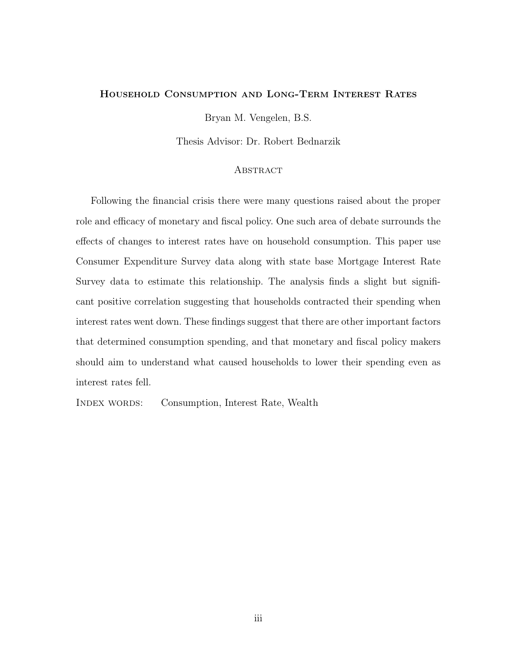### Household Consumption and Long-Term Interest Rates

Bryan M. Vengelen, B.S.

Thesis Advisor: Dr. Robert Bednarzik

### **ABSTRACT**

Following the financial crisis there were many questions raised about the proper role and efficacy of monetary and fiscal policy. One such area of debate surrounds the effects of changes to interest rates have on household consumption. This paper use Consumer Expenditure Survey data along with state base Mortgage Interest Rate Survey data to estimate this relationship. The analysis finds a slight but significant positive correlation suggesting that households contracted their spending when interest rates went down. These findings suggest that there are other important factors that determined consumption spending, and that monetary and fiscal policy makers should aim to understand what caused households to lower their spending even as interest rates fell.

INDEX WORDS: Consumption, Interest Rate, Wealth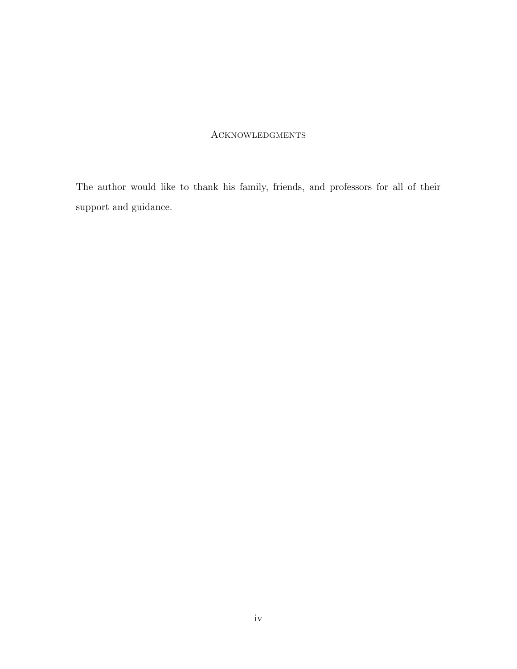# Acknowledgments

The author would like to thank his family, friends, and professors for all of their support and guidance.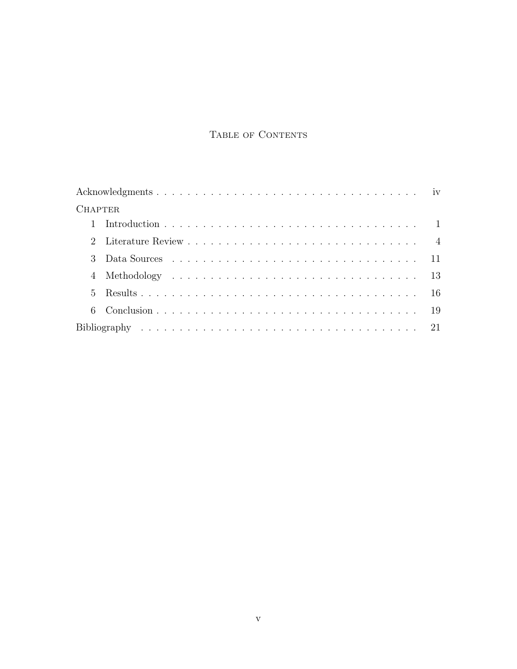# TABLE OF CONTENTS

| <b>CHAPTER</b> |  |
|----------------|--|
|                |  |
|                |  |
| 3              |  |
|                |  |
|                |  |
| 6              |  |
|                |  |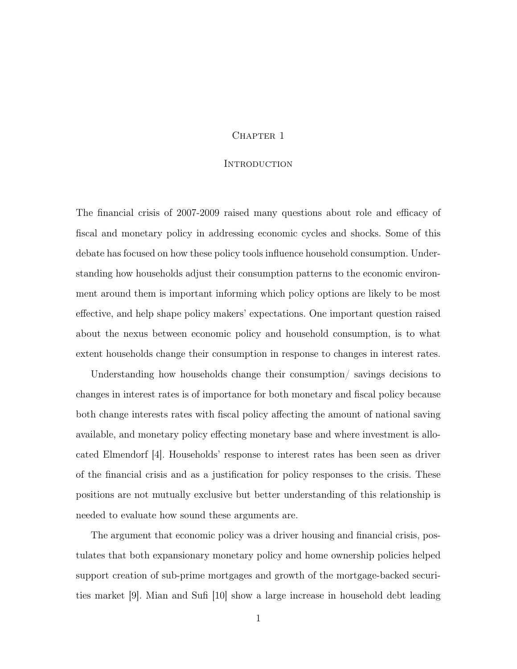### CHAPTER 1

### **INTRODUCTION**

The financial crisis of 2007-2009 raised many questions about role and efficacy of fiscal and monetary policy in addressing economic cycles and shocks. Some of this debate has focused on how these policy tools influence household consumption. Understanding how households adjust their consumption patterns to the economic environment around them is important informing which policy options are likely to be most effective, and help shape policy makers' expectations. One important question raised about the nexus between economic policy and household consumption, is to what extent households change their consumption in response to changes in interest rates.

Understanding how households change their consumption/ savings decisions to changes in interest rates is of importance for both monetary and fiscal policy because both change interests rates with fiscal policy affecting the amount of national saving available, and monetary policy effecting monetary base and where investment is allocated Elmendorf [4]. Households' response to interest rates has been seen as driver of the financial crisis and as a justification for policy responses to the crisis. These positions are not mutually exclusive but better understanding of this relationship is needed to evaluate how sound these arguments are.

The argument that economic policy was a driver housing and financial crisis, postulates that both expansionary monetary policy and home ownership policies helped support creation of sub-prime mortgages and growth of the mortgage-backed securities market [9]. Mian and Sufi [10] show a large increase in household debt leading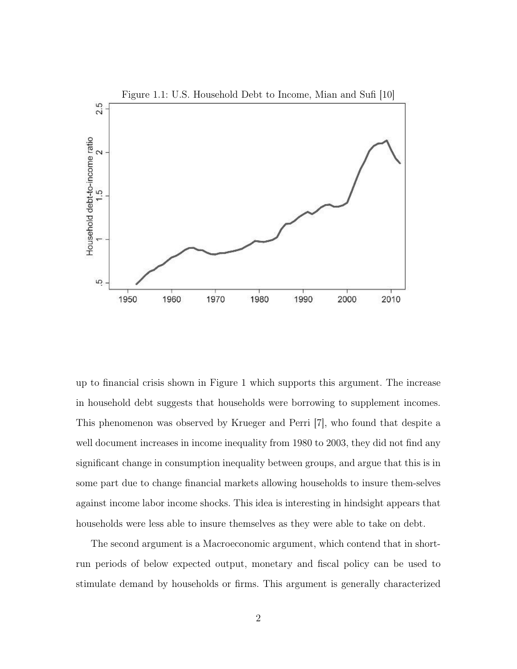

up to financial crisis shown in Figure 1 which supports this argument. The increase in household debt suggests that households were borrowing to supplement incomes. This phenomenon was observed by Krueger and Perri [7], who found that despite a well document increases in income inequality from 1980 to 2003, they did not find any significant change in consumption inequality between groups, and argue that this is in some part due to change financial markets allowing households to insure them-selves against income labor income shocks. This idea is interesting in hindsight appears that households were less able to insure themselves as they were able to take on debt.

The second argument is a Macroeconomic argument, which contend that in shortrun periods of below expected output, monetary and fiscal policy can be used to stimulate demand by households or firms. This argument is generally characterized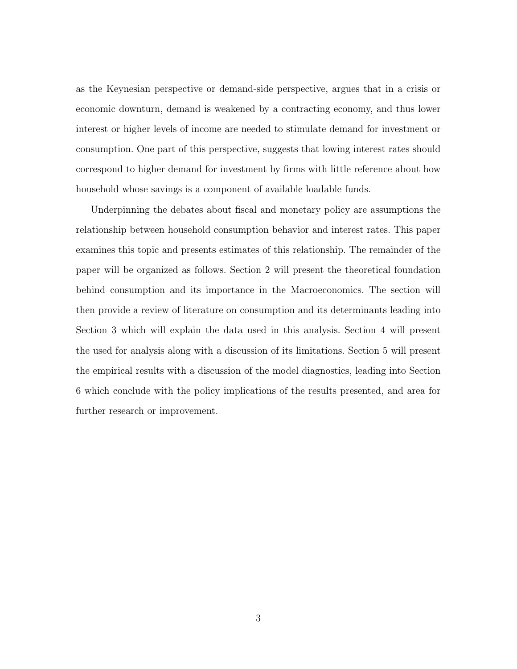as the Keynesian perspective or demand-side perspective, argues that in a crisis or economic downturn, demand is weakened by a contracting economy, and thus lower interest or higher levels of income are needed to stimulate demand for investment or consumption. One part of this perspective, suggests that lowing interest rates should correspond to higher demand for investment by firms with little reference about how household whose savings is a component of available loadable funds.

Underpinning the debates about fiscal and monetary policy are assumptions the relationship between household consumption behavior and interest rates. This paper examines this topic and presents estimates of this relationship. The remainder of the paper will be organized as follows. Section 2 will present the theoretical foundation behind consumption and its importance in the Macroeconomics. The section will then provide a review of literature on consumption and its determinants leading into Section 3 which will explain the data used in this analysis. Section 4 will present the used for analysis along with a discussion of its limitations. Section 5 will present the empirical results with a discussion of the model diagnostics, leading into Section 6 which conclude with the policy implications of the results presented, and area for further research or improvement.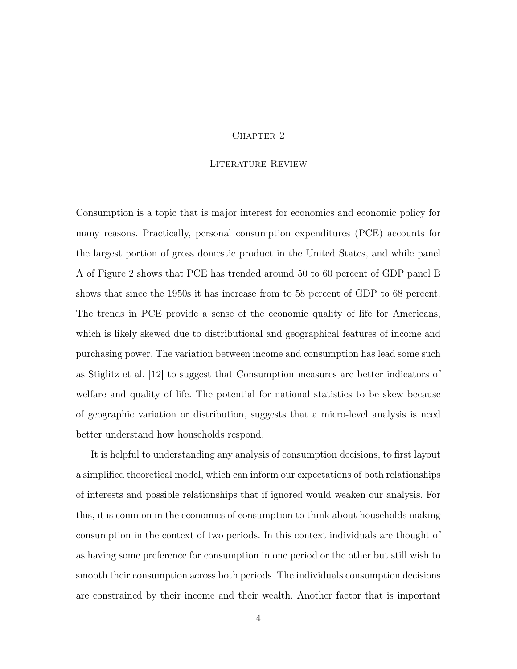### CHAPTER<sub>2</sub>

### Literature Review

Consumption is a topic that is major interest for economics and economic policy for many reasons. Practically, personal consumption expenditures (PCE) accounts for the largest portion of gross domestic product in the United States, and while panel A of Figure 2 shows that PCE has trended around 50 to 60 percent of GDP panel B shows that since the 1950s it has increase from to 58 percent of GDP to 68 percent. The trends in PCE provide a sense of the economic quality of life for Americans, which is likely skewed due to distributional and geographical features of income and purchasing power. The variation between income and consumption has lead some such as Stiglitz et al. [12] to suggest that Consumption measures are better indicators of welfare and quality of life. The potential for national statistics to be skew because of geographic variation or distribution, suggests that a micro-level analysis is need better understand how households respond.

It is helpful to understanding any analysis of consumption decisions, to first layout a simplified theoretical model, which can inform our expectations of both relationships of interests and possible relationships that if ignored would weaken our analysis. For this, it is common in the economics of consumption to think about households making consumption in the context of two periods. In this context individuals are thought of as having some preference for consumption in one period or the other but still wish to smooth their consumption across both periods. The individuals consumption decisions are constrained by their income and their wealth. Another factor that is important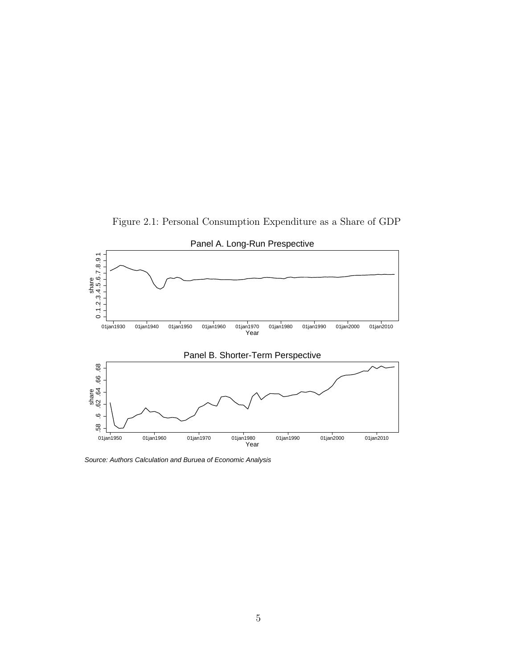Figure 2.1: Personal Consumption Expenditure as a Share of GDP



Source: Authors Calculation and Buruea of Economic Analysis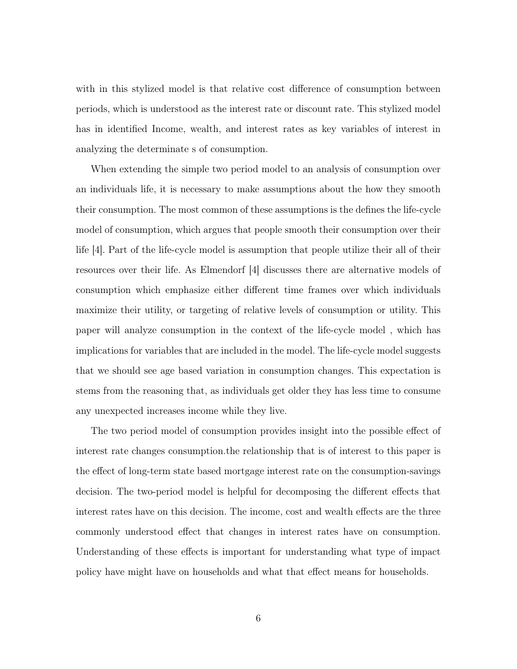with in this stylized model is that relative cost difference of consumption between periods, which is understood as the interest rate or discount rate. This stylized model has in identified Income, wealth, and interest rates as key variables of interest in analyzing the determinate s of consumption.

When extending the simple two period model to an analysis of consumption over an individuals life, it is necessary to make assumptions about the how they smooth their consumption. The most common of these assumptions is the defines the life-cycle model of consumption, which argues that people smooth their consumption over their life [4]. Part of the life-cycle model is assumption that people utilize their all of their resources over their life. As Elmendorf [4] discusses there are alternative models of consumption which emphasize either different time frames over which individuals maximize their utility, or targeting of relative levels of consumption or utility. This paper will analyze consumption in the context of the life-cycle model , which has implications for variables that are included in the model. The life-cycle model suggests that we should see age based variation in consumption changes. This expectation is stems from the reasoning that, as individuals get older they has less time to consume any unexpected increases income while they live.

The two period model of consumption provides insight into the possible effect of interest rate changes consumption.the relationship that is of interest to this paper is the effect of long-term state based mortgage interest rate on the consumption-savings decision. The two-period model is helpful for decomposing the different effects that interest rates have on this decision. The income, cost and wealth effects are the three commonly understood effect that changes in interest rates have on consumption. Understanding of these effects is important for understanding what type of impact policy have might have on households and what that effect means for households.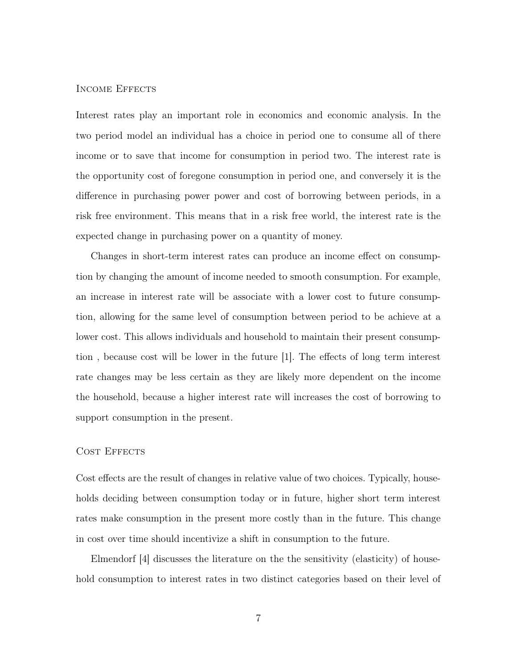### INCOME EFFECTS

Interest rates play an important role in economics and economic analysis. In the two period model an individual has a choice in period one to consume all of there income or to save that income for consumption in period two. The interest rate is the opportunity cost of foregone consumption in period one, and conversely it is the difference in purchasing power power and cost of borrowing between periods, in a risk free environment. This means that in a risk free world, the interest rate is the expected change in purchasing power on a quantity of money.

Changes in short-term interest rates can produce an income effect on consumption by changing the amount of income needed to smooth consumption. For example, an increase in interest rate will be associate with a lower cost to future consumption, allowing for the same level of consumption between period to be achieve at a lower cost. This allows individuals and household to maintain their present consumption , because cost will be lower in the future [1]. The effects of long term interest rate changes may be less certain as they are likely more dependent on the income the household, because a higher interest rate will increases the cost of borrowing to support consumption in the present.

### COST EFFECTS

Cost effects are the result of changes in relative value of two choices. Typically, households deciding between consumption today or in future, higher short term interest rates make consumption in the present more costly than in the future. This change in cost over time should incentivize a shift in consumption to the future.

Elmendorf [4] discusses the literature on the the sensitivity (elasticity) of household consumption to interest rates in two distinct categories based on their level of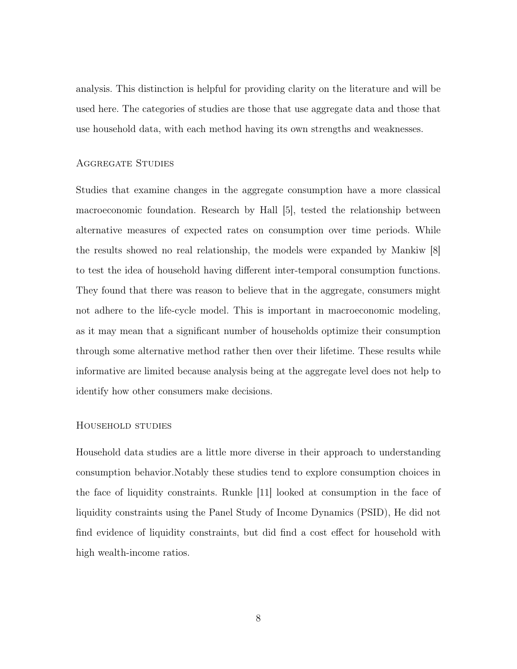analysis. This distinction is helpful for providing clarity on the literature and will be used here. The categories of studies are those that use aggregate data and those that use household data, with each method having its own strengths and weaknesses.

### Aggregate Studies

Studies that examine changes in the aggregate consumption have a more classical macroeconomic foundation. Research by Hall [5], tested the relationship between alternative measures of expected rates on consumption over time periods. While the results showed no real relationship, the models were expanded by Mankiw [8] to test the idea of household having different inter-temporal consumption functions. They found that there was reason to believe that in the aggregate, consumers might not adhere to the life-cycle model. This is important in macroeconomic modeling, as it may mean that a significant number of households optimize their consumption through some alternative method rather then over their lifetime. These results while informative are limited because analysis being at the aggregate level does not help to identify how other consumers make decisions.

#### Household studies

Household data studies are a little more diverse in their approach to understanding consumption behavior.Notably these studies tend to explore consumption choices in the face of liquidity constraints. Runkle [11] looked at consumption in the face of liquidity constraints using the Panel Study of Income Dynamics (PSID), He did not find evidence of liquidity constraints, but did find a cost effect for household with high wealth-income ratios.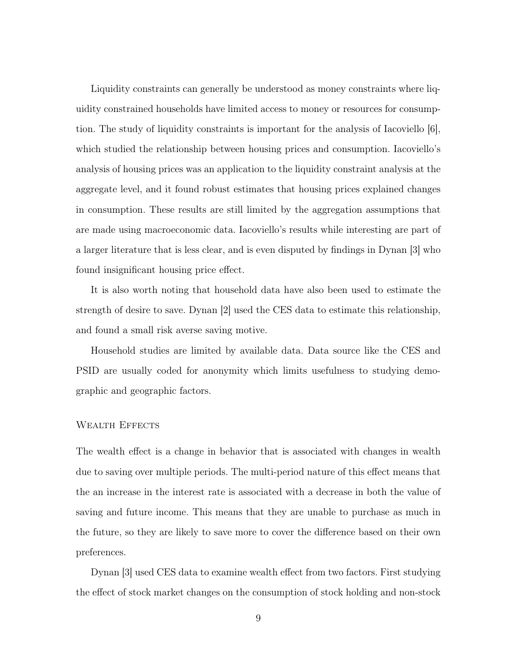Liquidity constraints can generally be understood as money constraints where liquidity constrained households have limited access to money or resources for consumption. The study of liquidity constraints is important for the analysis of Iacoviello  $|6|$ , which studied the relationship between housing prices and consumption. Iacoviello's analysis of housing prices was an application to the liquidity constraint analysis at the aggregate level, and it found robust estimates that housing prices explained changes in consumption. These results are still limited by the aggregation assumptions that are made using macroeconomic data. Iacoviello's results while interesting are part of a larger literature that is less clear, and is even disputed by findings in Dynan [3] who found insignificant housing price effect.

It is also worth noting that household data have also been used to estimate the strength of desire to save. Dynan [2] used the CES data to estimate this relationship, and found a small risk averse saving motive.

Household studies are limited by available data. Data source like the CES and PSID are usually coded for anonymity which limits usefulness to studying demographic and geographic factors.

#### WEALTH EFFECTS

The wealth effect is a change in behavior that is associated with changes in wealth due to saving over multiple periods. The multi-period nature of this effect means that the an increase in the interest rate is associated with a decrease in both the value of saving and future income. This means that they are unable to purchase as much in the future, so they are likely to save more to cover the difference based on their own preferences.

Dynan [3] used CES data to examine wealth effect from two factors. First studying the effect of stock market changes on the consumption of stock holding and non-stock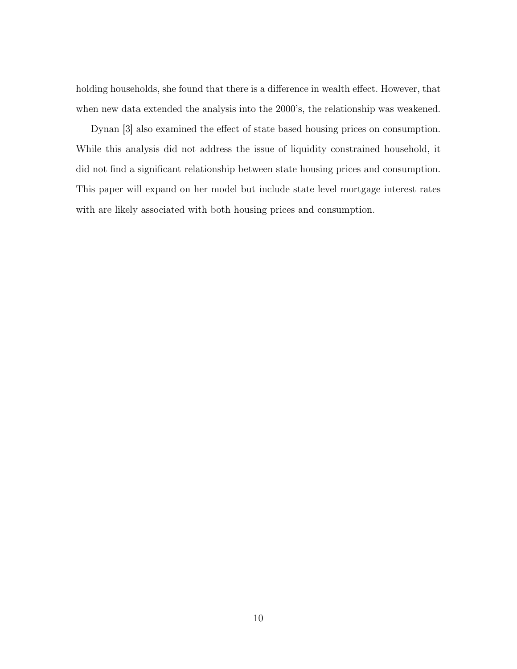holding households, she found that there is a difference in wealth effect. However, that when new data extended the analysis into the 2000's, the relationship was weakened.

Dynan [3] also examined the effect of state based housing prices on consumption. While this analysis did not address the issue of liquidity constrained household, it did not find a significant relationship between state housing prices and consumption. This paper will expand on her model but include state level mortgage interest rates with are likely associated with both housing prices and consumption.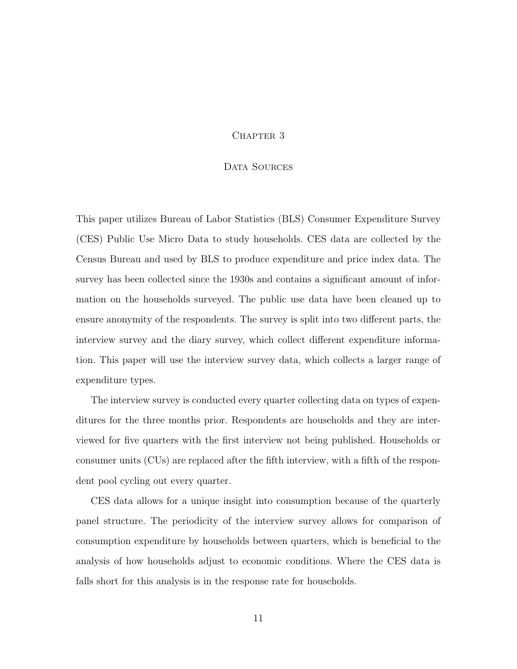### CHAPTER 3

### DATA SOURCES

This paper utilizes Bureau of Labor Statistics (BLS) Consumer Expenditure Survey (CES) Public Use Micro Data to study households. CES data are collected by the Census Bureau and used by BLS to produce expenditure and price index data. The survey has been collected since the 1930s and contains a significant amount of information on the households surveyed. The public use data have been cleaned up to ensure anonymity of the respondents. The survey is split into two different parts, the interview survey and the diary survey, which collect different expenditure information. This paper will use the interview survey data, which collects a larger range of expenditure types.

The interview survey is conducted every quarter collecting data on types of expenditures for the three months prior. Respondents are households and they are interviewed for five quarters with the first interview not being published. Households or consumer units (CUs) are replaced after the fifth interview, with a fifth of the respondent pool cycling out every quarter.

CES data allows for a unique insight into consumption because of the quarterly panel structure. The periodicity of the interview survey allows for comparison of consumption expenditure by households between quarters, which is beneficial to the analysis of how households adjust to economic conditions. Where the CES data is falls short for this analysis is in the response rate for households.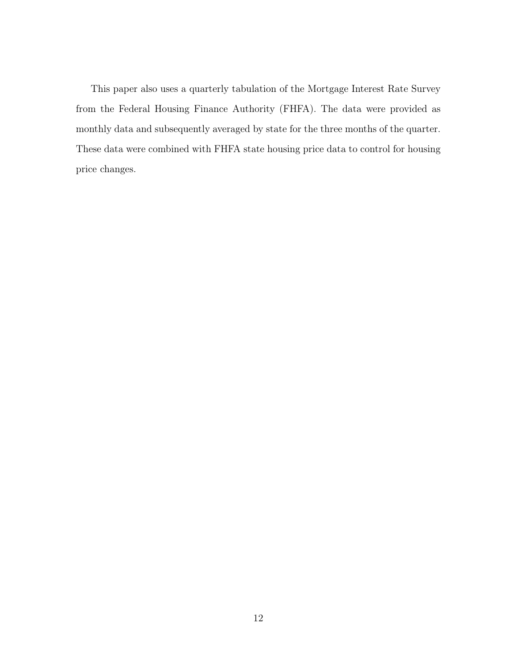This paper also uses a quarterly tabulation of the Mortgage Interest Rate Survey from the Federal Housing Finance Authority (FHFA). The data were provided as monthly data and subsequently averaged by state for the three months of the quarter. These data were combined with FHFA state housing price data to control for housing price changes.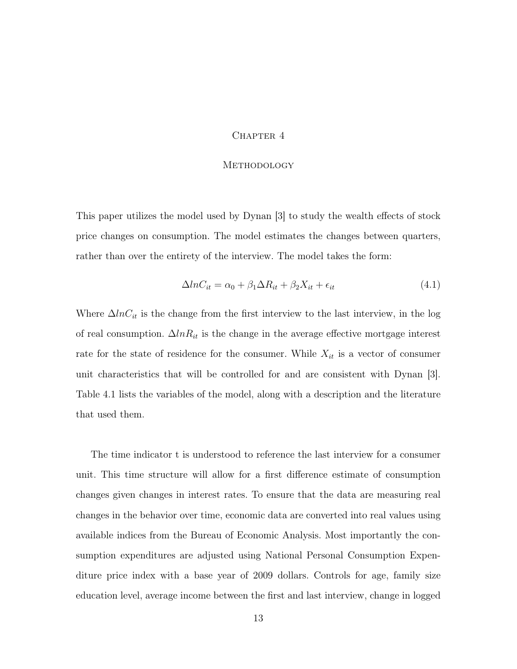#### CHAPTER 4

### **METHODOLOGY**

This paper utilizes the model used by Dynan [3] to study the wealth effects of stock price changes on consumption. The model estimates the changes between quarters, rather than over the entirety of the interview. The model takes the form:

$$
\Delta ln C_{it} = \alpha_0 + \beta_1 \Delta R_{it} + \beta_2 X_{it} + \epsilon_{it} \tag{4.1}
$$

Where  $\Delta ln C_{it}$  is the change from the first interview to the last interview, in the log of real consumption.  $\Delta ln R_{it}$  is the change in the average effective mortgage interest rate for the state of residence for the consumer. While  $X_{it}$  is a vector of consumer unit characteristics that will be controlled for and are consistent with Dynan [3]. Table 4.1 lists the variables of the model, along with a description and the literature that used them.

The time indicator t is understood to reference the last interview for a consumer unit. This time structure will allow for a first difference estimate of consumption changes given changes in interest rates. To ensure that the data are measuring real changes in the behavior over time, economic data are converted into real values using available indices from the Bureau of Economic Analysis. Most importantly the consumption expenditures are adjusted using National Personal Consumption Expenditure price index with a base year of 2009 dollars. Controls for age, family size education level, average income between the first and last interview, change in logged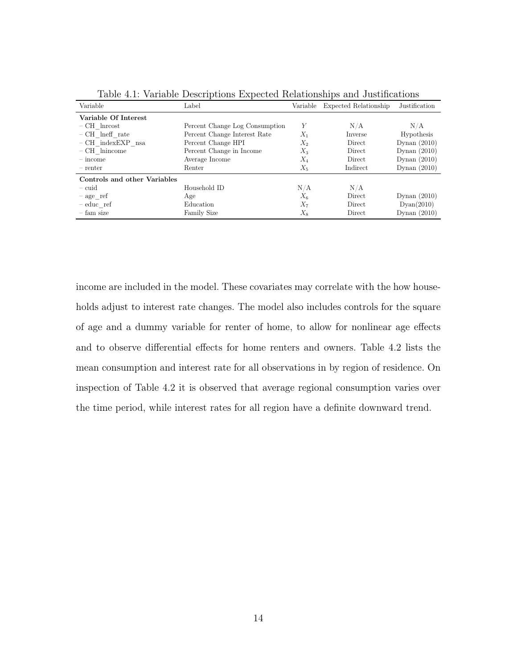|                              | л.<br>л.                       |       | л.                             |                |
|------------------------------|--------------------------------|-------|--------------------------------|----------------|
| Variable                     | Label                          |       | Variable Expected Relationship | Justification  |
| Variable Of Interest         |                                |       |                                |                |
| $-CH$ Inrcost                | Percent Change Log Consumption | Y     | N/A                            | N/A            |
| $-$ CH lneff rate            | Percent Change Interest Rate   | $X_1$ | Inverse                        | Hypothesis     |
| $-$ CH indexEXP nsa          | Percent Change HPI             | $X_2$ | Direct                         | Dynan $(2010)$ |
| $-CH$ lnincome               | Percent Change in Income       | $X_3$ | Direct                         | Dynan $(2010)$ |
| $-$ income                   | Average Income                 | $X_4$ | Direct                         | Dynan $(2010)$ |
| - renter                     | Renter                         | $X_5$ | Indirect                       | Dynan $(2010)$ |
| Controls and other Variables |                                |       |                                |                |
| $-$ cuid                     | Household ID                   | N/A   | N/A                            |                |
| $-$ age ref                  | Age                            | $X_6$ | Direct                         | Dynan $(2010)$ |
| $-$ educ ref                 | Education                      | $X_7$ | Direct                         | Dyan(2010)     |
| – fam size                   | <b>Family Size</b>             | $X_8$ | Direct                         | Dynan $(2010)$ |

Table 4.1: Variable Descriptions Expected Relationships and Justifications

income are included in the model. These covariates may correlate with the how households adjust to interest rate changes. The model also includes controls for the square of age and a dummy variable for renter of home, to allow for nonlinear age effects and to observe differential effects for home renters and owners. Table 4.2 lists the mean consumption and interest rate for all observations in by region of residence. On inspection of Table 4.2 it is observed that average regional consumption varies over the time period, while interest rates for all region have a definite downward trend.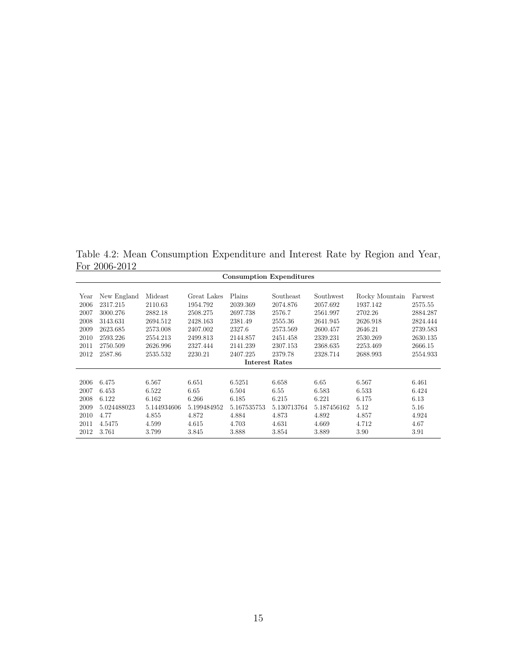Table 4.2: Mean Consumption Expenditure and Interest Rate by Region and Year, For 2006-2012

|                       | FOI ZUUO-ZUIZ<br><b>Consumption Expenditures</b> |             |             |             |             |             |                |          |
|-----------------------|--------------------------------------------------|-------------|-------------|-------------|-------------|-------------|----------------|----------|
| Year                  | New England                                      | Mideast     | Great Lakes | Plains      | Southeast   | Southwest   | Rocky Mountain | Farwest  |
| 2006                  | 2317.215                                         | 2110.63     | 1954.792    | 2039.369    | 2074.876    | 2057.692    | 1937.142       | 2575.55  |
| 2007                  | 3000.276                                         | 2882.18     | 2508.275    | 2697.738    | 2576.7      | 2561.997    | 2702.26        | 2884.287 |
| 2008                  | 3143.631                                         | 2694.512    | 2428.163    | 2381.49     | 2555.36     | 2641.945    | 2626.918       | 2824.444 |
| 2009                  | 2623.685                                         | 2573.008    | 2407.002    | 2327.6      | 2573.569    | 2600.457    | 2646.21        | 2739.583 |
| 2010                  | 2593.226                                         | 2554.213    | 2499.813    | 2144.857    | 2451.458    | 2339.231    | 2530.269       | 2630.135 |
| 2011                  | 2750.509                                         | 2626.996    | 2327.444    | 2141.239    | 2307.153    | 2368.635    | 2253.469       | 2666.15  |
| 2012                  | 2587.86                                          | 2535.532    | 2230.21     | 2407.225    | 2379.78     | 2328.714    | 2688.993       | 2554.933 |
| <b>Interest Rates</b> |                                                  |             |             |             |             |             |                |          |
| 2006                  | 6.475                                            | 6.567       | 6.651       | 6.5251      | 6.658       | 6.65        | 6.567          | 6.461    |
| 2007                  | 6.453                                            | 6.522       | 6.65        | 6.504       | 6.55        | 6.583       | 6.533          | 6.424    |
| 2008                  | 6.122                                            | 6.162       | 6.266       | 6.185       | 6.215       | 6.221       | 6.175          | 6.13     |
| 2009                  | 5.024488023                                      | 5.144934606 | 5.199484952 | 5.167535753 | 5.130713764 | 5.187456162 | 5.12           | 5.16     |
| 2010                  | 4.77                                             | 4.855       | 4.872       | 4.884       | 4.873       | 4.892       | 4.857          | 4.924    |
| 2011                  | 4.5475                                           | 4.599       | 4.615       | 4.703       | 4.631       | 4.669       | 4.712          | 4.67     |
| 2012                  | 3.761                                            | 3.799       | 3.845       | 3.888       | 3.854       | 3.889       | 3.90           | 3.91     |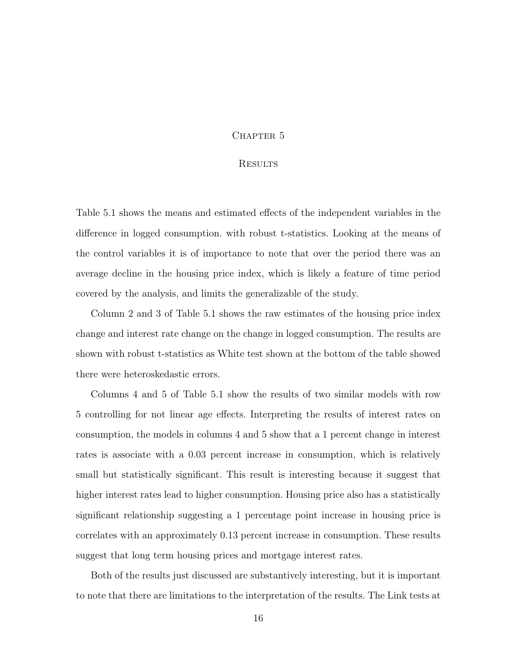### CHAPTER 5

## **RESULTS**

Table 5.1 shows the means and estimated effects of the independent variables in the difference in logged consumption. with robust t-statistics. Looking at the means of the control variables it is of importance to note that over the period there was an average decline in the housing price index, which is likely a feature of time period covered by the analysis, and limits the generalizable of the study.

Column 2 and 3 of Table 5.1 shows the raw estimates of the housing price index change and interest rate change on the change in logged consumption. The results are shown with robust t-statistics as White test shown at the bottom of the table showed there were heteroskedastic errors.

Columns 4 and 5 of Table 5.1 show the results of two similar models with row 5 controlling for not linear age effects. Interpreting the results of interest rates on consumption, the models in columns 4 and 5 show that a 1 percent change in interest rates is associate with a 0.03 percent increase in consumption, which is relatively small but statistically significant. This result is interesting because it suggest that higher interest rates lead to higher consumption. Housing price also has a statistically significant relationship suggesting a 1 percentage point increase in housing price is correlates with an approximately 0.13 percent increase in consumption. These results suggest that long term housing prices and mortgage interest rates.

Both of the results just discussed are substantively interesting, but it is important to note that there are limitations to the interpretation of the results. The Link tests at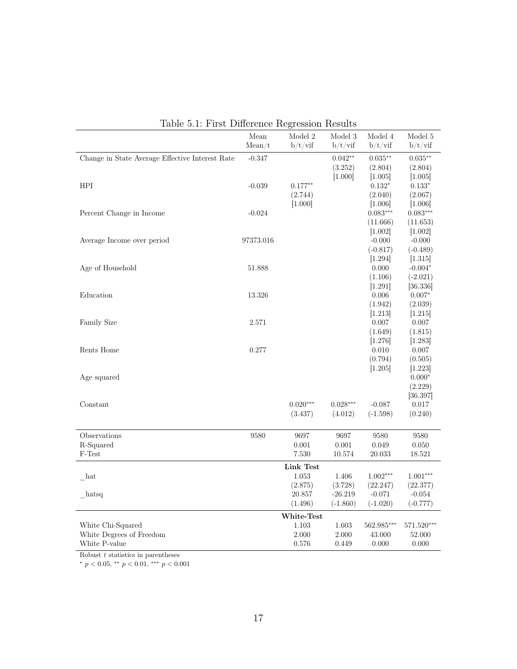|                                                 | Mean<br>Mean/t | Model 2<br>b/t/vif | Model 3<br>b/t/vif | Model 4<br>b/t/vif | Model 5<br>b/t/vif |
|-------------------------------------------------|----------------|--------------------|--------------------|--------------------|--------------------|
| Change in State Average Effective Interest Rate | $-0.347$       |                    | $0.042**$          | $0.035**$          | $0.035***$         |
|                                                 |                |                    | (3.252)            | (2.804)            | (2.804)            |
|                                                 |                |                    | [1.000]            | [1.005]            | [1.005]            |
| HPI                                             | $-0.039$       | $0.177**$          |                    | $0.132^{\ast}$     | $0.133*$           |
|                                                 |                | (2.744)            |                    | (2.040)            | (2.067)            |
|                                                 |                | [1.000]            |                    | [1.006]            | [1.006]            |
| Percent Change in Income                        | $-0.024$       |                    |                    | $0.083***$         | $0.083***$         |
|                                                 |                |                    |                    | (11.666)           | (11.653)           |
|                                                 |                |                    |                    | [1.002]            | [1.002]            |
| Average Income over period                      | 97373.016      |                    |                    | $-0.000$           | $-0.000$           |
|                                                 |                |                    |                    | $(-0.817)$         | $(-0.489)$         |
|                                                 |                |                    |                    | [1.294]            | [1.315]            |
| Age of Household                                | 51.888         |                    |                    | 0.000              | $-0.004*$          |
|                                                 |                |                    |                    | (1.106)            | $(-2.021)$         |
|                                                 |                |                    |                    | [1.291]            | [36.336]           |
| Education                                       | 13.326         |                    |                    | 0.006              | $0.007*$           |
|                                                 |                |                    |                    | (1.942)            | (2.039)            |
|                                                 |                |                    |                    | [1.213]            | [1.215]            |
| <b>Family Size</b>                              | 2.571          |                    |                    | 0.007              | 0.007              |
|                                                 |                |                    |                    | (1.649)            | (1.815)            |
|                                                 |                |                    |                    | [1.276]            | [1.283]            |
| Rents Home                                      | 0.277          |                    |                    | 0.010              | 0.007              |
|                                                 |                |                    |                    | (0.794)            | (0.505)            |
|                                                 |                |                    |                    | [1.205]            | [1.223]            |
| Age squared                                     |                |                    |                    |                    | $0.000*$           |
|                                                 |                |                    |                    |                    | (2.229)            |
|                                                 |                |                    |                    |                    | [36.397]           |
| Constant                                        |                | $0.020***$         | $0.028***$         | $-0.087$           | 0.017              |
|                                                 |                | (3.437)            | (4.012)            | $(-1.598)$         | (0.240)            |
| Observations                                    | 9580           | 9697               | 9697               | 9580               | 9580               |
| R-Squared                                       |                | 0.001              | 0.001              | 0.049              | 0.050              |
| F-Test                                          |                | 7.530              | 10.574             | 20.033             | 18.521             |
|                                                 |                | Link Test          |                    |                    |                    |
| hat                                             |                | 1.053              | 1.406              | $1.002***$         | $1.001***$         |
|                                                 |                | (2.875)            | (3.728)            | (22.247)           | (22.377)           |
| hatsq                                           |                | 20.857             | $-26.219$          | $-0.071$           | $-0.054$           |
|                                                 |                | (1.496)            | $(-1.860)$         | $(-1.020)$         | $(-0.777)$         |
|                                                 |                | White-Test         |                    |                    |                    |
| White Chi-Squared                               |                | 1.103              | 1.603              | 562.985***         | 571.520***         |
| White Degrees of Freedom                        |                | 2.000              | 2.000              | 43.000             | 52.000             |
| White P-value                                   |                | 0.576              | 0.449              | 0.000              | 0.000              |

|  |  |  | Table 5.1: First Difference Regression Results |  |
|--|--|--|------------------------------------------------|--|
|--|--|--|------------------------------------------------|--|

Robust  $t$  statistics in parentheses

\*  $p < 0.05$ , \*\*  $p < 0.01$ , \*\*\*  $p < 0.001$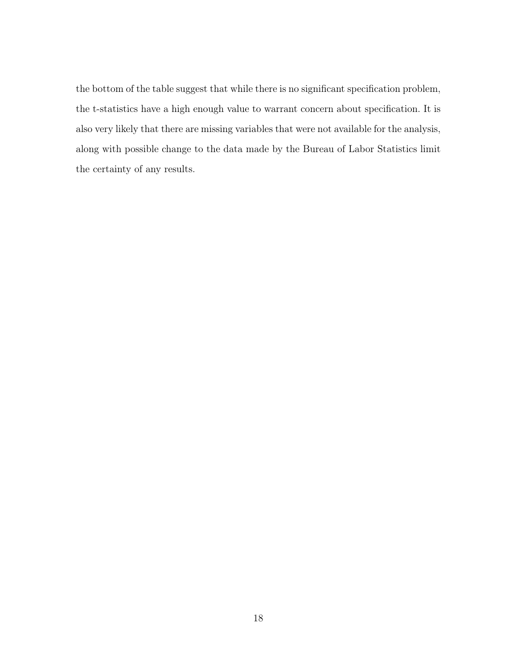the bottom of the table suggest that while there is no significant specification problem, the t-statistics have a high enough value to warrant concern about specification. It is also very likely that there are missing variables that were not available for the analysis, along with possible change to the data made by the Bureau of Labor Statistics limit the certainty of any results.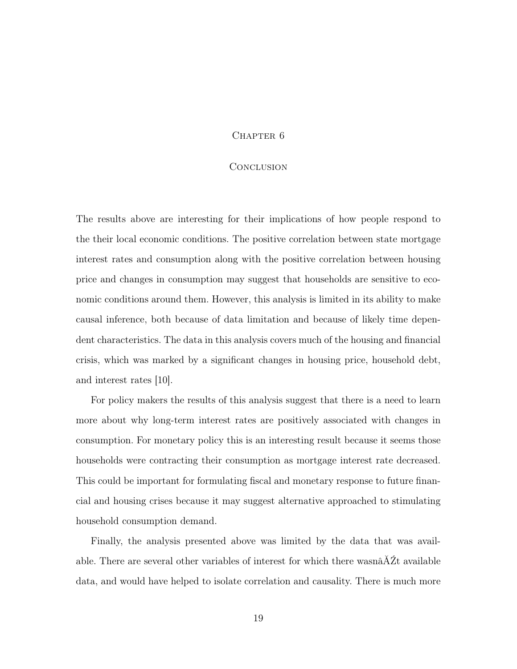### CHAPTER<sub>6</sub>

#### **CONCLUSION**

The results above are interesting for their implications of how people respond to the their local economic conditions. The positive correlation between state mortgage interest rates and consumption along with the positive correlation between housing price and changes in consumption may suggest that households are sensitive to economic conditions around them. However, this analysis is limited in its ability to make causal inference, both because of data limitation and because of likely time dependent characteristics. The data in this analysis covers much of the housing and financial crisis, which was marked by a significant changes in housing price, household debt, and interest rates [10].

For policy makers the results of this analysis suggest that there is a need to learn more about why long-term interest rates are positively associated with changes in consumption. For monetary policy this is an interesting result because it seems those households were contracting their consumption as mortgage interest rate decreased. This could be important for formulating fiscal and monetary response to future financial and housing crises because it may suggest alternative approached to stimulating household consumption demand.

Finally, the analysis presented above was limited by the data that was available. There are several other variables of interest for which there wasnâĂŹt available data, and would have helped to isolate correlation and causality. There is much more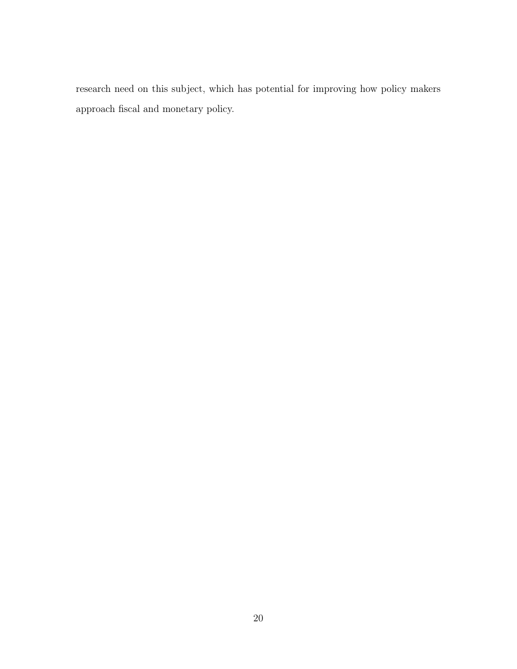research need on this subject, which has potential for improving how policy makers approach fiscal and monetary policy.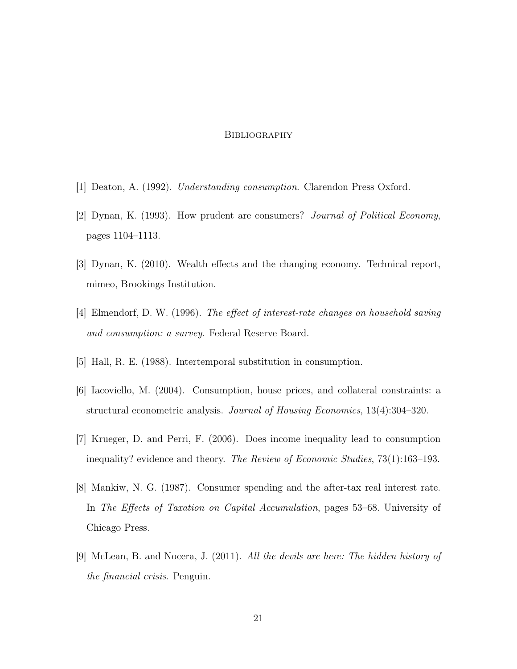### **BIBLIOGRAPHY**

- [1] Deaton, A. (1992). Understanding consumption. Clarendon Press Oxford.
- [2] Dynan, K. (1993). How prudent are consumers? Journal of Political Economy, pages 1104–1113.
- [3] Dynan, K. (2010). Wealth effects and the changing economy. Technical report, mimeo, Brookings Institution.
- [4] Elmendorf, D. W. (1996). The effect of interest-rate changes on household saving and consumption: a survey. Federal Reserve Board.
- [5] Hall, R. E. (1988). Intertemporal substitution in consumption.
- [6] Iacoviello, M. (2004). Consumption, house prices, and collateral constraints: a structural econometric analysis. Journal of Housing Economics, 13(4):304–320.
- [7] Krueger, D. and Perri, F. (2006). Does income inequality lead to consumption inequality? evidence and theory. The Review of Economic Studies, 73(1):163–193.
- [8] Mankiw, N. G. (1987). Consumer spending and the after-tax real interest rate. In The Effects of Taxation on Capital Accumulation, pages 53–68. University of Chicago Press.
- [9] McLean, B. and Nocera, J. (2011). All the devils are here: The hidden history of the financial crisis. Penguin.